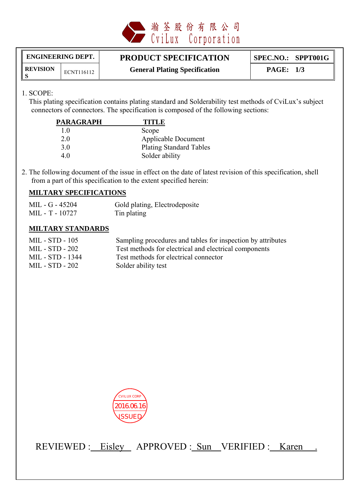

**REVISION**

# ENGINEERING DEPT. **PRODUCT SPECIFICATION** SPEC.NO.: SPPT001G

**SECUSION ECNT116112 General Plating Specification PAGE: 1/3** 

## 1. SCOPE:

 This plating specification contains plating standard and Solderability test methods of CviLux's subject connectors of connectors. The specification is composed of the following sections:

| <b>PARAGRAPH</b> | <b>TITLE</b>                   |
|------------------|--------------------------------|
| 10               | Scope                          |
| 2.0              | <b>Applicable Document</b>     |
| 3 O              | <b>Plating Standard Tables</b> |
| 4.0              | Solder ability                 |

2. The following document of the issue in effect on the date of latest revision of this specification, shell from a part of this specification to the extent specified herein:

#### **MILTARY SPECIFICATIONS**

| MIL - G - 45204 | Gold plating, Electrodeposite |
|-----------------|-------------------------------|
| MIL - T - 10727 | Tin plating                   |

#### **MILTARY STANDARDS**

| MIL - STD - 105  | Sampling procedures and tables for inspection by attributes |
|------------------|-------------------------------------------------------------|
| MIL - STD - 202  | Test methods for electrical and electrical components       |
| MIL - STD - 1344 | Test methods for electrical connector                       |
| MIL - STD - 202  | Solder ability test                                         |



REVIEWED : Eisley APPROVED : Sun VERIFIED : Karen .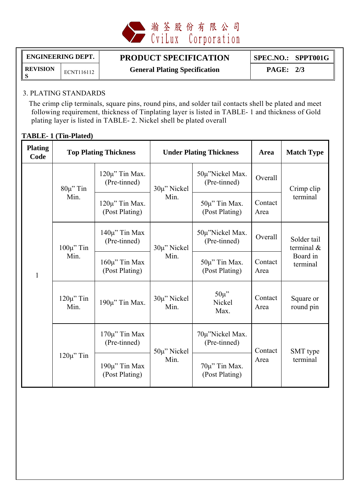

**REVISION**

# ENGINEERING DEPT. **PRODUCT SPECIFICATION** SPEC.NO.: SPPT001G

**SEVISION** ECNT116112 **General Plating Specification** PAGE: 2/3

# 3. PLATING STANDARDS

 The crimp clip terminals, square pins, round pins, and solder tail contacts shell be plated and meet following requirement, thickness of Tinplating layer is listed in TABLE- 1 and thickness of Gold plating layer is listed in TABLE- 2. Nickel shell be plated overall

# **TABLE- 1 (Tin-Plated)**

| <b>Plating</b><br>Code | <b>Top Plating Thickness</b> |                                       | <b>Under Plating Thickness</b> |                                      | Area            | <b>Match Type</b>                                    |
|------------------------|------------------------------|---------------------------------------|--------------------------------|--------------------------------------|-----------------|------------------------------------------------------|
|                        | $80\mu$ " Tin<br>Min.        | $120\mu$ " Tin Max.<br>(Pre-tinned)   | 30µ" Nickel<br>Min.            | 50µ"Nickel Max.<br>(Pre-tinned)      | Overall         | Crimp clip<br>terminal                               |
|                        |                              | $120\mu$ " Tin Max.<br>(Post Plating) |                                | $50\mu$ " Tin Max.<br>(Post Plating) | Contact<br>Area |                                                      |
|                        | $100\mu$ " Tin               | $140\mu$ " Tin Max<br>(Pre-tinned)    | 30µ" Nickel<br>Min.            | 50µ"Nickel Max.<br>(Pre-tinned)      | Overall         | Solder tail<br>terminal $\&$<br>Board in<br>terminal |
| $\mathbf{1}$           | Min.                         | $160\mu$ " Tin Max<br>(Post Plating)  |                                | $50\mu$ " Tin Max.<br>(Post Plating) | Contact<br>Area |                                                      |
|                        | $120\mu$ " Tin<br>Min.       | $190\mu$ " Tin Max.                   | $30\mu$ " Nickel<br>Min.       | $50\mu$ "<br>Nickel<br>Max.          | Contact<br>Area | Square or<br>round pin                               |
|                        | $120\mu$ " Tin               | $170\mu$ " Tin Max<br>(Pre-tinned)    | $50\mu$ " Nickel<br>Min.       | 70µ"Nickel Max.<br>(Pre-tinned)      | Contact<br>Area | SMT type<br>terminal                                 |
|                        |                              | $190\mu$ " Tin Max<br>(Post Plating)  |                                | 70µ" Tin Max.<br>(Post Plating)      |                 |                                                      |